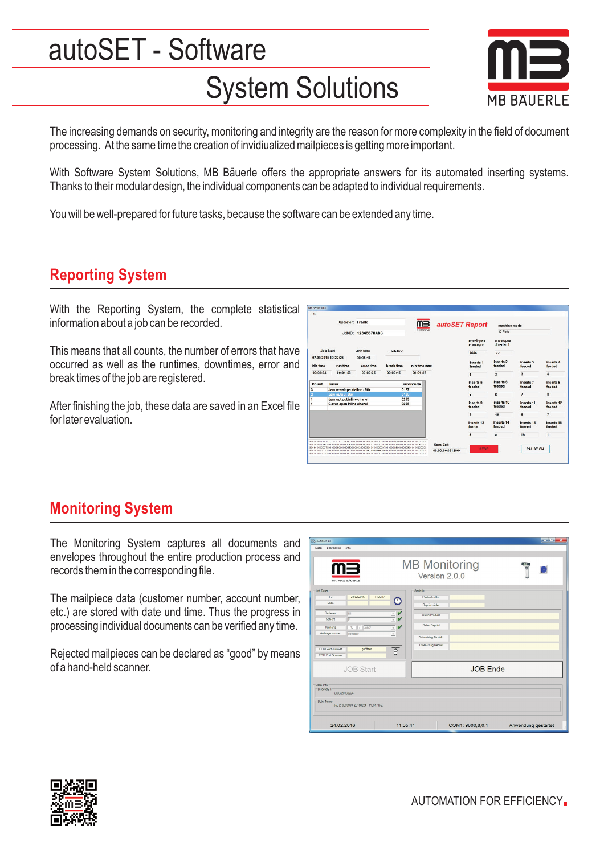# autoSET - Software System Solutions



The increasing demands on security, monitoring and integrity are the reason for more complexity in the field of document processing. At the same time the creation of invidiualized mailpieces is getting more important.

With Software System Solutions, MB Bäuerle offers the appropriate answers for its automated inserting systems. Thanks to their modular design, the individual components can be adapted to individual requirements.

You will be well-prepared for future tasks, because the software can be extended any time.

### **Reporting System**

With the Reporting System, the complete statistical information about a job can be recorded.

This means that all counts, the number of errors that have occurred as well as the runtimes, downtimes, error and break times of the job are registered.

After finishing the job, these data are saved in an Excel file for later evaluation.

| File      |                                                      |                        |                |                  |                |                       |                         |                                |                         |
|-----------|------------------------------------------------------|------------------------|----------------|------------------|----------------|-----------------------|-------------------------|--------------------------------|-------------------------|
|           | Operator: Frank                                      |                        | m∃             |                  | autoSET Report |                       | machine mode            |                                |                         |
|           |                                                      | Job D: 12345678ABC     |                | <b>MB BALERS</b> |                |                       | C-Fold                  |                                |                         |
|           |                                                      |                        |                |                  |                | envelopes<br>conveyor | envelopes<br>diverter 1 |                                |                         |
|           | <b>Job Start</b>                                     | Job time               | <b>Job End</b> |                  |                | 4444                  | 22                      |                                |                         |
| idle time | 07.09.2015 10:22:26<br>run time                      | 00:05:18<br>error time | break time     | run time max     |                | inserts 1<br>feeded   | inserts 2<br>feeded     | inserts <sub>3</sub><br>feeded | inserts 4<br>feeded     |
| 00:02:34  | 00:01:53                                             | 00:00:35               | 00:00:15       | 00:01:27         |                | $\overline{1}$        | $\overline{a}$          | 3                              | $\overline{\mathbf{4}}$ |
| Count     | <b>Error</b>                                         |                        |                | Errorcode        |                | inserts 5<br>feeded   | inserts 6<br>feeded     | inserts 7<br>feeded            | inserts 8<br>feeded     |
| 3<br>2    | Jam envelope station - 90+<br><b>Jam output star</b> |                        |                | 0127<br>0129     |                | 5                     | ß.                      | $\overline{7}$                 | <b>R</b>                |
| 4         | Jam out put inline chanel                            |                        |                | 0253             |                |                       |                         |                                |                         |
|           | Cover open inline chanel                             |                        |                | 0256             |                | inserts 9<br>feeded   | inserts 10<br>feeded    | inserts 11<br>feeded           | inserts 12<br>feeded    |
|           |                                                      |                        |                |                  |                | $\mathbf{Q}$          | 16                      | 6                              | $\overline{7}$          |
|           |                                                      |                        |                |                  |                | inserts 13<br>feeded  | inserts 14<br>feeded    | inserts 15<br>feeded           | inserts 16<br>feeded    |
|           |                                                      |                        |                |                  |                | 8                     | $\mathbf{Q}$            | 16                             | $\overline{1}$          |
|           |                                                      |                        |                |                  | Kom, Zeit      |                       |                         |                                |                         |

#### **Monitoring System**

The Monitoring System captures all documents and envelopes throughout the entire production process and records them in the corresponding file.

The mailpiece data (customer number, account number, etc.) are stored with date und time. Thus the progress in processing individual documents can be verified any time.

Rejected mailpieces can be declared as "good" by means of a hand-held scanner.

| m∋<br>MATHIAS RAUFRUE                                                                                                                                                                              | <b>MB Monitoring</b><br>Version 2.0.0                                                                                                                                                          |  |
|----------------------------------------------------------------------------------------------------------------------------------------------------------------------------------------------------|------------------------------------------------------------------------------------------------------------------------------------------------------------------------------------------------|--|
| Job Daten<br>24 02 2016<br>11:36:17<br>Start<br>Fode<br>Bediener<br>BT<br>Schicht<br>16 / Job 2<br>Kennung<br>Auftragsnummer<br>9999999<br>geöffnet<br>COM Port AutoSet<br><b>COM Port Scanner</b> | <b>Statistik</b><br><b>Produktzähler</b><br>∩<br>Reprintzähler<br>✓<br><b>Daten Produkt</b><br>v<br><b>Daten Reprint</b><br>u<br><b>Datenstring Produkt</b><br><b>Datenstring Reprint</b><br>百 |  |
| <b>JOB Start</b>                                                                                                                                                                                   | <b>JOB Ende</b>                                                                                                                                                                                |  |
| Datei Info<br>Directory 1<br>N OG\20160224<br>Datei Name<br>Job 2_9999999_20160224_113617.Dat                                                                                                      |                                                                                                                                                                                                |  |